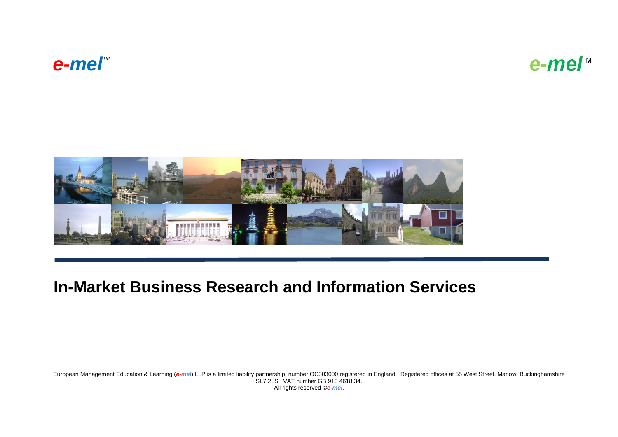# $e$ -*mel*<sup>™</sup>

e-me/™



## **In-Market Business Research and Information Services**

European Management Education & Learning (*e-mel*) LLP is a limited liability partnership, number OC303000 registered in England. Registered offices at 55 West Street, Marlow, Buckinghamshire SL7 2LS. VAT number GB 913 4618 34. All rights reserved ©*e-mel*.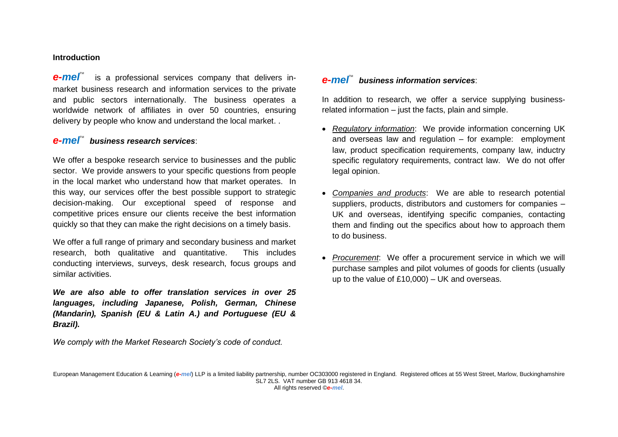#### **Introduction**

**e-mel**<sup>"</sup> is a professional services company that delivers inmarket business research and information services to the private and public sectors internationally. The business operates a worldwide network of affiliates in over 50 countries, ensuring delivery by people who know and understand the local market. .

#### **e-me**<sup>™</sup> business research services:

We offer a bespoke research service to businesses and the public sector. We provide answers to your specific questions from people in the local market who understand how that market operates. In this way, our services offer the best possible support to strategic decision-making. Our exceptional speed of response and competitive prices ensure our clients receive the best information quickly so that they can make the right decisions on a timely basis.

We offer a full range of primary and secondary business and market research, both qualitative and quantitative. This includes conducting interviews, surveys, desk research, focus groups and similar activities.

*We are also able to offer translation services in over 25 languages, including Japanese, Polish, German, Chinese (Mandarin), Spanish (EU & Latin A.) and Portuguese (EU & Brazil).*

*We comply with the Market Research Society's code of conduct.*

#### *e-mel<sup>™</sup> business information services***:**

In addition to research, we offer a service supplying businessrelated information – just the facts, plain and simple.

- *Regulatory information*: We provide information concerning UK and overseas law and regulation – for example: employment law, product specification requirements, company law, inductry specific regulatory requirements, contract law. We do not offer legal opinion.
- *Companies and products*: We are able to research potential suppliers, products, distributors and customers for companies – UK and overseas, identifying specific companies, contacting them and finding out the specifics about how to approach them to do business.
- *Procurement*: We offer a procurement service in which we will purchase samples and pilot volumes of goods for clients (usually up to the value of £10,000) – UK and overseas.

European Management Education & Learning (*e-mel*) LLP is a limited liability partnership, number OC303000 registered in England. Registered offices at 55 West Street, Marlow, Buckinghamshire SL7 2LS. VAT number GB 913 4618 34. All rights reserved ©*e-mel*.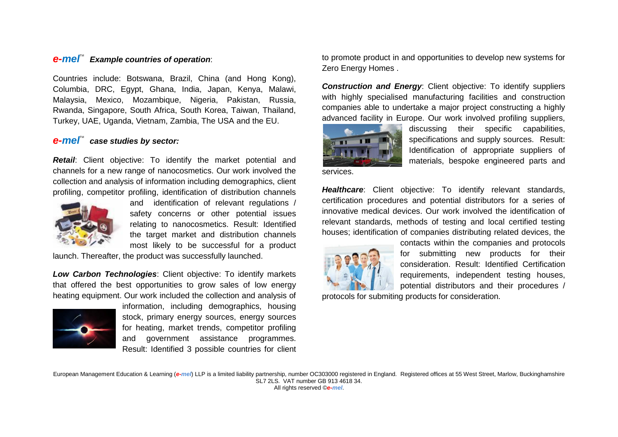#### *e-mel*TM *Example countries of operation*:

Countries include: Botswana, Brazil, China (and Hong Kong), Columbia, DRC, Egypt, Ghana, India, Japan, Kenya, Malawi, Malaysia, Mexico, Mozambique, Nigeria, Pakistan, Russia, Rwanda, Singapore, South Africa, South Korea, Taiwan, Thailand, Turkey, UAE, Uganda, Vietnam, Zambia, The USA and the EU.

#### *e-mel™* case studies by sector:

*Retail*: Client objective: To identify the market potential and channels for a new range of nanocosmetics. Our work involved the collection and analysis of information including demographics, client profiling, competitor profiling, identification of distribution channels



and identification of relevant regulations / safety concerns or other potential issues relating to nanocosmetics. Result: Identified the target market and distribution channels most likely to be successful for a product

launch. Thereafter, the product was successfully launched.

*Low Carbon Technologies*: Client objective: To identify markets that offered the best opportunities to grow sales of low energy heating equipment. Our work included the collection and analysis of



information, including demographics, housing stock, primary energy sources, energy sources for heating, market trends, competitor profiling and government assistance programmes. Result: Identified 3 possible countries for client to promote product in and opportunities to develop new systems for Zero Energy Homes .

**Construction and Energy:** Client objective: To identify suppliers with highly specialised manufacturing facilities and construction companies able to undertake a major project constructing a highly advanced facility in Europe. Our work involved profiling suppliers,



discussing their specific capabilities, specifications and supply sources. Result: Identification of appropriate suppliers of materials, bespoke engineered parts and

services.

**Healthcare:** Client objective: To identify relevant standards, certification procedures and potential distributors for a series of innovative medical devices. Our work involved the identification of relevant standards, methods of testing and local certified testing houses; identification of companies distributing related devices, the



contacts within the companies and protocols for submitting new products for their consideration. Result: Identified Certification requirements, independent testing houses, potential distributors and their procedures /

protocols for submiting products for consideration.

European Management Education & Learning (*e-mel*) LLP is a limited liability partnership, number OC303000 registered in England. Registered offices at 55 West Street, Marlow, Buckinghamshire SL7 2LS. VAT number GB 913 4618 34. All rights reserved ©*e-mel*.